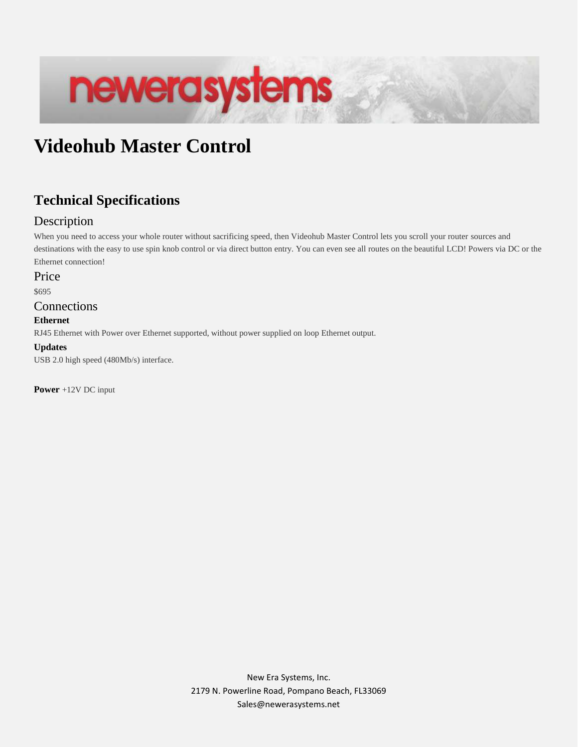# newerasystems

# **Videohub Master Control**

# **Technical Specifications**

# **Description**

When you need to access your whole router without sacrificing speed, then Videohub Master Control lets you scroll your router sources and destinations with the easy to use spin knob control or via direct button entry. You can even see all routes on the beautiful LCD! Powers via DC or the Ethernet connection!

#### Price

\$695

#### Connections

#### **Ethernet**

RJ45 Ethernet with Power over Ethernet supported, without power supplied on loop Ethernet output.

#### **Updates**

USB 2.0 high speed (480Mb/s) interface.

**Power** +12V DC input

New Era Systems, Inc. 2179 N. Powerline Road, Pompano Beach, FL33069 Sales@newerasystems.net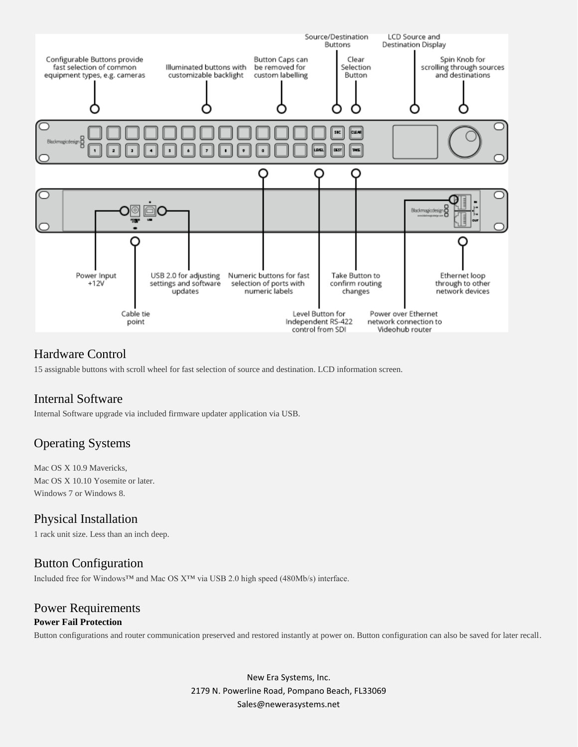

#### Hardware Control

15 assignable buttons with scroll wheel for fast selection of source and destination. LCD information screen.

#### Internal Software

Internal Software upgrade via included firmware updater application via USB.

# Operating Systems

Mac OS X 10.9 Mavericks, Mac OS X 10.10 Yosemite or later. Windows 7 or Windows 8.

#### Physical Installation

1 rack unit size. Less than an inch deep.

#### Button Configuration

Included free for Windows™ and Mac OS X™ via USB 2.0 high speed (480Mb/s) interface.

#### Power Requirements **Power Fail Protection**

Button configurations and router communication preserved and restored instantly at power on. Button configuration can also be saved for later recall.

New Era Systems, Inc. 2179 N. Powerline Road, Pompano Beach, FL33069 Sales@newerasystems.net